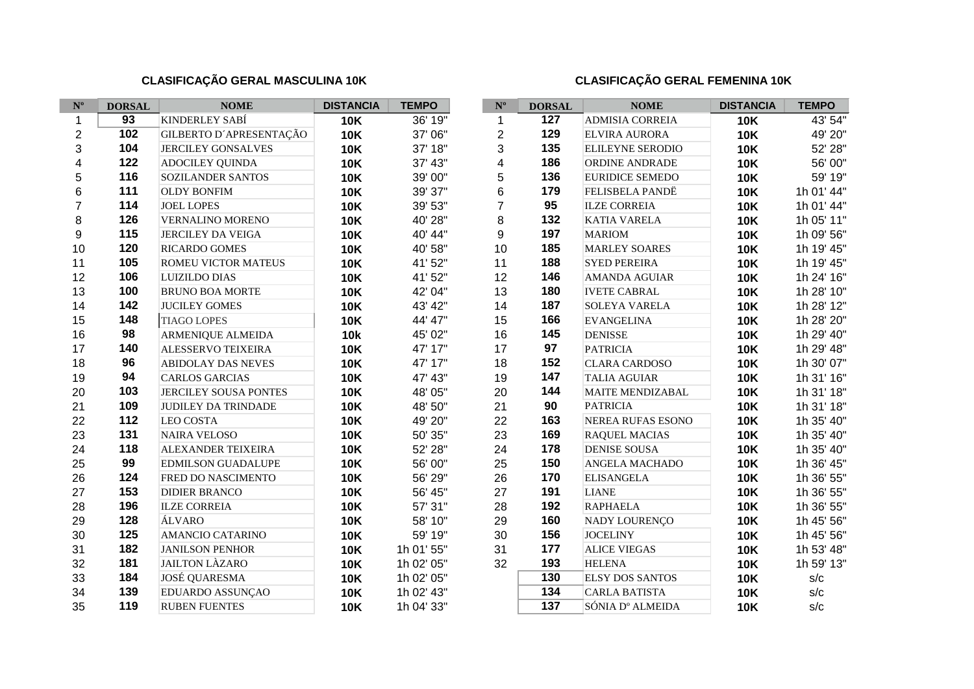## **CLASIFICAÇÃO GERAL MASCULINA 10K CLASIFICAÇÃO GERAL FEMENINA 10K**

ı

| $\mathbf{N}^{\mathrm{o}}$ | <b>DORSAL</b>   | <b>NOME</b>                | <b>DISTANCIA</b> | <b>TEMPO</b> | $\mathbf{N}^{\text{o}}$ | <b>DORSAL</b>    | <b>NOME</b>                  | <b>DISTANCIA</b> | <b>TEMPO</b> |
|---------------------------|-----------------|----------------------------|------------------|--------------|-------------------------|------------------|------------------------------|------------------|--------------|
| 1                         | $\overline{93}$ | KINDERLEY SABÍ             | <b>10K</b>       | 36' 19"      | 1                       | $\overline{127}$ | ADMISIA CORREIA              | <b>10K</b>       | 43' 54"      |
| $\overline{2}$            | 102             | GILBERTO D'APRESENTAÇÃO    | <b>10K</b>       | 37' 06"      | $\overline{c}$          | 129              | <b>ELVIRA AURORA</b>         | <b>10K</b>       | 49' 20"      |
| 3                         | 104             | <b>JERCILEY GONSALVES</b>  | <b>10K</b>       | 37' 18"      | 3                       | 135              | <b>ELILEYNE SERODIO</b>      | <b>10K</b>       | 52' 28"      |
| 4                         | 122             | <b>ADOCILEY QUINDA</b>     | <b>10K</b>       | 37' 43"      | $\overline{\mathbf{4}}$ | 186              | ORDINE ANDRADE               | <b>10K</b>       | 56' 00"      |
| 5                         | 116             | SOZILANDER SANTOS          | <b>10K</b>       | 39' 00"      | 5                       | 136              | <b>EURIDICE SEMEDO</b>       | <b>10K</b>       | 59' 19"      |
| 6                         | 111             | <b>OLDY BONFIM</b>         | <b>10K</b>       | 39' 37"      | 6                       | 179              | FELISBELA PANDË              | <b>10K</b>       | 1h 01' 44"   |
| $\overline{7}$            | 114             | <b>JOEL LOPES</b>          | <b>10K</b>       | 39' 53"      | $\overline{7}$          | 95               | <b>ILZE CORREIA</b>          | <b>10K</b>       | 1h 01' 44"   |
| 8                         | 126             | VERNALINO MORENO           | <b>10K</b>       | 40' 28"      | 8                       | 132              | <b>KATIA VARELA</b>          | <b>10K</b>       | 1h 05' 11"   |
| 9                         | 115             | <b>JERCILEY DA VEIGA</b>   | <b>10K</b>       | 40' 44"      | 9                       | 197              | <b>MARIOM</b>                | <b>10K</b>       | 1h 09' 56"   |
| 10                        | 120             | <b>RICARDO GOMES</b>       | <b>10K</b>       | 40' 58"      | 10                      | 185              | <b>MARLEY SOARES</b>         | <b>10K</b>       | 1h 19' 45"   |
| 11                        | 105             | ROMEU VICTOR MATEUS        | <b>10K</b>       | 41' 52"      | 11                      | 188              | <b>SYED PEREIRA</b>          | <b>10K</b>       | 1h 19' 45"   |
| 12                        | 106             | <b>LUIZILDO DIAS</b>       | <b>10K</b>       | 41' 52"      | 12                      | 146              | AMANDA AGUIAR                | <b>10K</b>       | 1h 24' 16"   |
| 13                        | 100             | <b>BRUNO BOA MORTE</b>     | <b>10K</b>       | 42' 04"      | 13                      | 180              | <b>IVETE CABRAL</b>          | <b>10K</b>       | 1h 28' 10"   |
| 14                        | 142             | <b>JUCILEY GOMES</b>       | <b>10K</b>       | 43' 42"      | 14                      | 187              | <b>SOLEYA VARELA</b>         | <b>10K</b>       | 1h 28' 12"   |
| 15                        | 148             | <b>TIAGO LOPES</b>         | <b>10K</b>       | 44' 47"      | 15                      | 166              | <b>EVANGELINA</b>            | <b>10K</b>       | 1h 28' 20"   |
| 16                        | 98              | ARMENIQUE ALMEIDA          | <b>10k</b>       | 45' 02"      | 16                      | 145              | <b>DENISSE</b>               | <b>10K</b>       | 1h 29' 40"   |
| 17                        | 140             | ALESSERVO TEIXEIRA         | <b>10K</b>       | 47' 17"      | 17                      | 97               | <b>PATRICIA</b>              | <b>10K</b>       | 1h 29' 48"   |
| 18                        | 96              | ABIDOLAY DAS NEVES         | <b>10K</b>       | 47' 17"      | 18                      | 152              | <b>CLARA CARDOSO</b>         | <b>10K</b>       | 1h 30' 07"   |
| 19                        | 94              | <b>CARLOS GARCIAS</b>      | <b>10K</b>       | 47' 43"      | 19                      | 147              | <b>TALIA AGUIAR</b>          | <b>10K</b>       | 1h 31' 16"   |
| 20                        | 103             | JERCILEY SOUSA PONTES      | <b>10K</b>       | 48' 05"      | 20                      | 144              | MAITE MENDIZABAL             | <b>10K</b>       | 1h 31' 18"   |
| 21                        | 109             | <b>JUDILEY DA TRINDADE</b> | <b>10K</b>       | 48' 50"      | 21                      | 90               | <b>PATRICIA</b>              | <b>10K</b>       | 1h 31' 18"   |
| 22                        | 112             | <b>LEO COSTA</b>           | <b>10K</b>       | 49' 20"      | 22                      | 163              | NEREA RUFAS ESONO            | <b>10K</b>       | 1h 35' 40"   |
| 23                        | 131             | <b>NAIRA VELOSO</b>        | <b>10K</b>       | 50' 35"      | 23                      | 169              | <b>RAQUEL MACIAS</b>         | <b>10K</b>       | 1h 35' 40"   |
| 24                        | 118             | ALEXANDER TEIXEIRA         | <b>10K</b>       | 52' 28"      | 24                      | 178              | <b>DENISE SOUSA</b>          | <b>10K</b>       | 1h 35' 40"   |
| 25                        | 99              | <b>EDMILSON GUADALUPE</b>  | <b>10K</b>       | 56' 00"      | 25                      | 150              | ANGELA MACHADO               | <b>10K</b>       | 1h 36' 45"   |
| 26                        | 124             | FRED DO NASCIMENTO         | <b>10K</b>       | 56' 29"      | 26                      | 170              | <b>ELISANGELA</b>            | <b>10K</b>       | 1h 36' 55"   |
| 27                        | 153             | <b>DIDIER BRANCO</b>       | <b>10K</b>       | 56' 45"      | 27                      | 191              | <b>LIANE</b>                 | <b>10K</b>       | 1h 36' 55"   |
| 28                        | 196             | <b>ILZE CORREIA</b>        | <b>10K</b>       | 57' 31"      | 28                      | 192              | <b>RAPHAELA</b>              | <b>10K</b>       | 1h 36' 55"   |
| 29                        | 128             | ÁLVARO                     | <b>10K</b>       | 58' 10"      | 29                      | 160              | NADY LOURENÇO                | <b>10K</b>       | 1h 45' 56"   |
| 30                        | 125             | AMANCIO CATARINO           | <b>10K</b>       | 59' 19"      | 30                      | 156              | <b>JOCELINY</b>              | <b>10K</b>       | 1h 45' 56"   |
| 31                        | 182             | <b>JANILSON PENHOR</b>     | <b>10K</b>       | 1h 01' 55"   | 31                      | 177              | <b>ALICE VIEGAS</b>          | <b>10K</b>       | 1h 53' 48"   |
| 32                        | 181             | <b>JAILTON LÀZARO</b>      | <b>10K</b>       | 1h 02' 05"   | 32                      | 193              | <b>HELENA</b>                | <b>10K</b>       | 1h 59' 13"   |
| 33                        | 184             | <b>JOSÉ QUARESMA</b>       | <b>10K</b>       | 1h 02' 05"   |                         | 130              | <b>ELSY DOS SANTOS</b>       | <b>10K</b>       | s/c          |
| 34                        | 139             | EDUARDO ASSUNÇÃO           | <b>10K</b>       | 1h 02' 43"   |                         | $\overline{134}$ | <b>CARLA BATISTA</b>         | <b>10K</b>       | s/c          |
| 35                        | 119             | <b>RUBEN FUENTES</b>       | <b>10K</b>       | 1h 04' 33"   |                         | 137              | SÓNIA D <sup>o</sup> ALMEIDA | <b>10K</b>       | s/c          |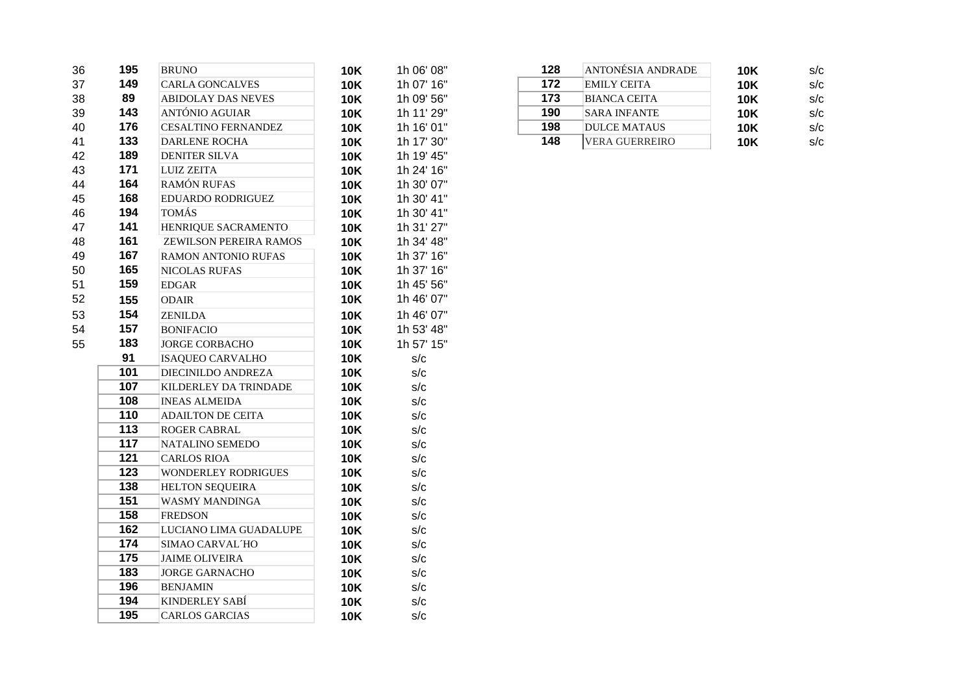| 36 | 195              | <b>BRUNO</b>               | <b>10K</b> | 1h 06' 08" | 128 | ANTONÉSIA ANDRADE     | <b>10K</b> | s/c |
|----|------------------|----------------------------|------------|------------|-----|-----------------------|------------|-----|
| 37 | 149              | <b>CARLA GONCALVES</b>     | <b>10K</b> | 1h 07' 16" | 172 | <b>EMILY CEITA</b>    | <b>10K</b> | s/c |
| 38 | 89               | <b>ABIDOLAY DAS NEVES</b>  | <b>10K</b> | 1h 09' 56" | 173 | <b>BIANCA CEITA</b>   | <b>10K</b> | s/c |
| 39 | 143              | ANTÓNIO AGUIAR             | <b>10K</b> | 1h 11' 29" | 190 | <b>SARA INFANTE</b>   | <b>10K</b> | s/c |
| 40 | 176              | <b>CESALTINO FERNANDEZ</b> | <b>10K</b> | 1h 16' 01" | 198 | <b>DULCE MATAUS</b>   | <b>10K</b> | s/c |
| 41 | 133              | <b>DARLENE ROCHA</b>       | <b>10K</b> | 1h 17' 30" | 148 | <b>VERA GUERREIRO</b> | <b>10K</b> | s/c |
| 42 | 189              | <b>DENITER SILVA</b>       | <b>10K</b> | 1h 19' 45" |     |                       |            |     |
| 43 | 171              | <b>LUIZ ZEITA</b>          | <b>10K</b> | 1h 24' 16" |     |                       |            |     |
| 44 | 164              | RAMÓN RUFAS                | <b>10K</b> | 1h 30' 07" |     |                       |            |     |
| 45 | 168              | EDUARDO RODRIGUEZ          | <b>10K</b> | 1h 30' 41" |     |                       |            |     |
| 46 | 194              | <b>TOMÁS</b>               | <b>10K</b> | 1h 30' 41" |     |                       |            |     |
| 47 | 141              | HENRIQUE SACRAMENTO        | <b>10K</b> | 1h 31' 27" |     |                       |            |     |
| 48 | 161              | ZEWILSON PEREIRA RAMOS     | <b>10K</b> | 1h 34' 48" |     |                       |            |     |
| 49 | 167              | <b>RAMON ANTONIO RUFAS</b> | <b>10K</b> | 1h 37' 16" |     |                       |            |     |
| 50 | 165              | <b>NICOLAS RUFAS</b>       | <b>10K</b> | 1h 37' 16" |     |                       |            |     |
| 51 | 159              | <b>EDGAR</b>               | <b>10K</b> | 1h 45' 56" |     |                       |            |     |
| 52 | 155              | <b>ODAIR</b>               | <b>10K</b> | 1h 46' 07" |     |                       |            |     |
| 53 | 154              | <b>ZENILDA</b>             | <b>10K</b> | 1h 46' 07" |     |                       |            |     |
| 54 | 157              | <b>BONIFACIO</b>           | <b>10K</b> | 1h 53' 48" |     |                       |            |     |
| 55 | 183              | <b>JORGE CORBACHO</b>      | <b>10K</b> | 1h 57' 15" |     |                       |            |     |
|    | 91               | <b>ISAQUEO CARVALHO</b>    | <b>10K</b> | s/c        |     |                       |            |     |
|    | 101              | DIECINILDO ANDREZA         | <b>10K</b> | s/c        |     |                       |            |     |
|    | 107              | KILDERLEY DA TRINDADE      | <b>10K</b> | s/c        |     |                       |            |     |
|    | 108              | <b>INEAS ALMEIDA</b>       | <b>10K</b> | s/c        |     |                       |            |     |
|    | 110              | <b>ADAILTON DE CEITA</b>   | <b>10K</b> | s/c        |     |                       |            |     |
|    | 113              | ROGER CABRAL               | <b>10K</b> | s/c        |     |                       |            |     |
|    | 117              | NATALINO SEMEDO            | <b>10K</b> | s/c        |     |                       |            |     |
|    | 121              | <b>CARLOS RIOA</b>         | <b>10K</b> | s/c        |     |                       |            |     |
|    | 123              | <b>WONDERLEY RODRIGUES</b> | <b>10K</b> | s/c        |     |                       |            |     |
|    | 138              | <b>HELTON SEQUEIRA</b>     | <b>10K</b> | s/c        |     |                       |            |     |
|    | 151              | WASMY MANDINGA             | <b>10K</b> | s/c        |     |                       |            |     |
|    | 158              | <b>FREDSON</b>             | <b>10K</b> | s/c        |     |                       |            |     |
|    | 162              | LUCIANO LIMA GUADALUPE     | <b>10K</b> | s/c        |     |                       |            |     |
|    | 174              | SIMAO CARVAL HO            | <b>10K</b> | s/c        |     |                       |            |     |
|    | $\overline{175}$ | <b>JAIME OLIVEIRA</b>      | <b>10K</b> | s/c        |     |                       |            |     |
|    | 183              | <b>JORGE GARNACHO</b>      | <b>10K</b> | s/c        |     |                       |            |     |
|    | 196              | <b>BENJAMIN</b>            | <b>10K</b> | s/c        |     |                       |            |     |
|    | 194              | <b>KINDERLEY SABÍ</b>      | <b>10K</b> | s/c        |     |                       |            |     |
|    | 195              | <b>CARLOS GARCIAS</b>      | <b>10K</b> | s/c        |     |                       |            |     |
|    |                  |                            |            |            |     |                       |            |     |

| 128 | ANTONÉSIA ANDRADE     | <b>10K</b> | s/c |
|-----|-----------------------|------------|-----|
| 172 | <b>EMILY CEITA</b>    | <b>10K</b> | s/c |
| 173 | <b>BIANCA CEITA</b>   | <b>10K</b> | s/c |
| 190 | <b>SARA INFANTE</b>   | <b>10K</b> | s/c |
| 198 | <b>DULCE MATAUS</b>   | <b>10K</b> | s/c |
| 148 | <b>VERA GUERREIRO</b> | <b>10K</b> | s/c |